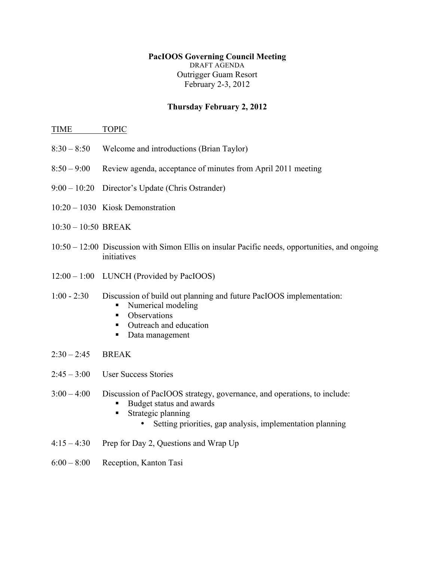## **PacIOOS Governing Council Meeting** DRAFT AGENDA Outrigger Guam Resort February 2-3, 2012

## **Thursday February 2, 2012**

## TIME TOPIC

- 8:30 8:50 Welcome and introductions (Brian Taylor)
- 8:50 9:00 Review agenda, acceptance of minutes from April 2011 meeting
- 9:00 10:20 Director's Update (Chris Ostrander)
- 10:20 1030 Kiosk Demonstration
- 10:30 10:50 BREAK
- 10:50 12:00 Discussion with Simon Ellis on insular Pacific needs, opportunities, and ongoing initiatives
- 12:00 1:00 LUNCH (Provided by PacIOOS)
- 1:00 2:30 Discussion of build out planning and future PacIOOS implementation:
	- Numerical modeling
	- Observations
	- Outreach and education
	- Data management
- $2:30 2:45$  BREAK
- 2:45 3:00 User Success Stories
- 3:00 4:00 Discussion of PacIOOS strategy, governance, and operations, to include:
	- § Budget status and awards
	- Strategic planning
		- Setting priorities, gap analysis, implementation planning
- $4:15 4:30$  Prep for Day 2, Questions and Wrap Up
- 6:00 8:00 Reception, Kanton Tasi